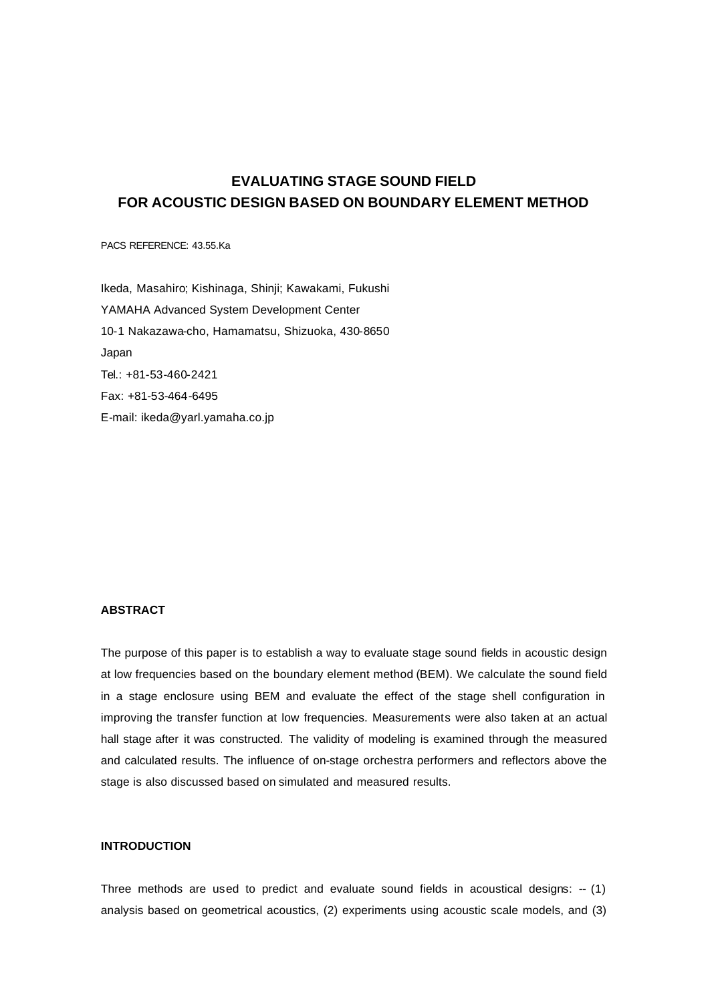# **EVALUATING STAGE SOUND FIELD FOR ACOUSTIC DESIGN BASED ON BOUNDARY ELEMENT METHOD**

PACS REFERENCE: 43.55.Ka

Ikeda, Masahiro; Kishinaga, Shinji; Kawakami, Fukushi YAMAHA Advanced System Development Center 10-1 Nakazawa-cho, Hamamatsu, Shizuoka, 430-8650 Japan Tel.: +81-53-460-2421 Fax: +81-53-464-6495 E-mail: ikeda@yarl.yamaha.co.jp

### **ABSTRACT**

The purpose of this paper is to establish a way to evaluate stage sound fields in acoustic design at low frequencies based on the boundary element method (BEM). We calculate the sound field in a stage enclosure using BEM and evaluate the effect of the stage shell configuration in improving the transfer function at low frequencies. Measurements were also taken at an actual hall stage after it was constructed. The validity of modeling is examined through the measured and calculated results. The influence of on-stage orchestra performers and reflectors above the stage is also discussed based on simulated and measured results.

#### **INTRODUCTION**

Three methods are used to predict and evaluate sound fields in acoustical designs:  $- (1)$ analysis based on geometrical acoustics, (2) experiments using acoustic scale models, and (3)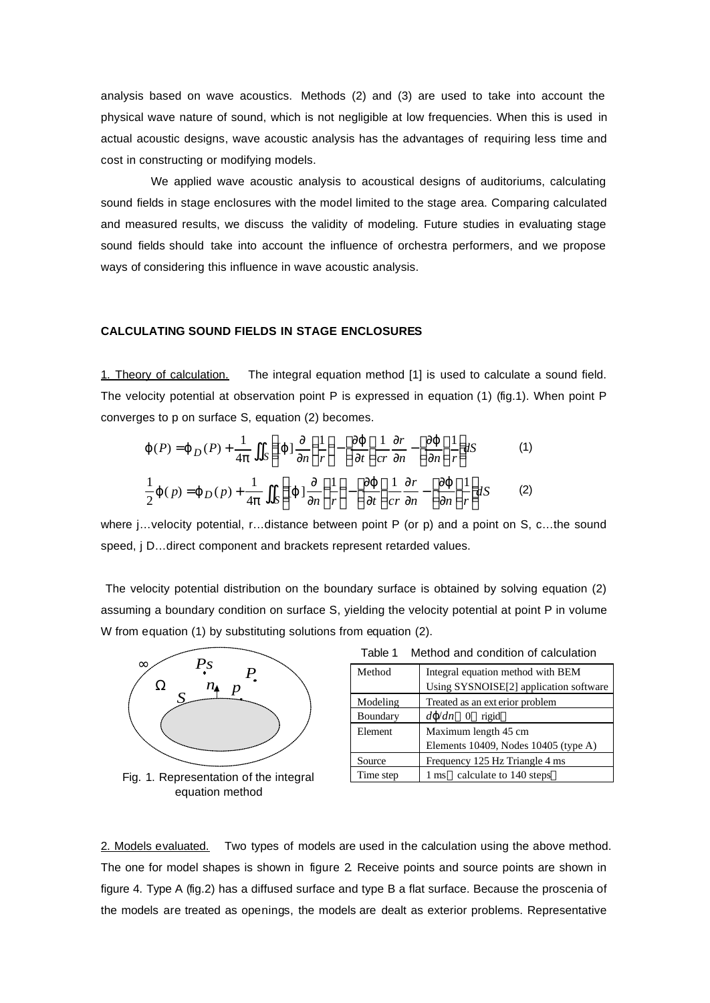analysis based on wave acoustics. Methods (2) and (3) are used to take into account the physical wave nature of sound, which is not negligible at low frequencies. When this is used in actual acoustic designs, wave acoustic analysis has the advantages of requiring less time and cost in constructing or modifying models.

We applied wave acoustic analysis to acoustical designs of auditoriums, calculating sound fields in stage enclosures with the model limited to the stage area. Comparing calculated and measured results, we discuss the validity of modeling. Future studies in evaluating stage sound fields should take into account the influence of orchestra performers, and we propose ways of considering this influence in wave acoustic analysis.

#### **CALCULATING SOUND FIELDS IN STAGE ENCLOSURES**

1. Theory of calculation. The integral equation method [1] is used to calculate a sound field. The velocity potential at observation point P is expressed in equation (1) (fig.1). When point P converges to p on surface S, equation (2) becomes.

$$
\mathbf{j}(P) = \mathbf{j}_D(P) + \frac{1}{4p} \iint_S \left[ \mathbf{j} \, \frac{\partial}{\partial n} \left( \frac{1}{r} \right) - \left[ \frac{\partial \mathbf{j}}{\partial t} \right] \frac{1}{r} \frac{\partial r}{\partial n} - \left[ \frac{\partial \mathbf{j}}{\partial n} \right] \frac{1}{r} \right] dS \tag{1}
$$
\n
$$
\frac{1}{2} \mathbf{j}(p) = \mathbf{j}_D(p) + \frac{1}{4p} \iint_S \left[ \mathbf{j} \, \frac{\partial}{\partial n} \left( \frac{1}{r} \right) - \left[ \frac{\partial \mathbf{j}}{\partial t} \right] \frac{1}{r} \frac{\partial r}{\partial n} - \left[ \frac{\partial \mathbf{j}}{\partial n} \right] \frac{1}{r} \right) dS \tag{2}
$$

where j…velocity potential, r…distance between point P (or p) and a point on S, c…the sound speed, j D…direct component and brackets represent retarded values.

 The velocity potential distribution on the boundary surface is obtained by solving equation (2) assuming a boundary condition on surface S, yielding the velocity potential at point P in volume W from equation (1) by substituting solutions from equation (2).



Fig. 1. Representation of the integral equation method

| Table 1<br>Method and condition of calculation |                                        |  |  |
|------------------------------------------------|----------------------------------------|--|--|
| Method                                         | Integral equation method with BEM      |  |  |
|                                                | Using SYSNOISE[2] application software |  |  |
| Modeling                                       | Treated as an ext erior problem        |  |  |
| Boundary                                       | $d\mathbf{i}/dn$ 0 rigid               |  |  |
| Element                                        | Maximum length 45 cm                   |  |  |
|                                                | Elements 10409, Nodes 10405 (type A)   |  |  |
| Source                                         | Frequency 125 Hz Triangle 4 ms         |  |  |
| Time step                                      | 1 ms calculate to 140 steps            |  |  |

2. Models evaluated. Two types of models are used in the calculation using the above method. The one for model shapes is shown in figure 2. Receive points and source points are shown in figure 4. Type A (fig.2) has a diffused surface and type B a flat surface. Because the proscenia of the models are treated as openings, the models are dealt as exterior problems. Representative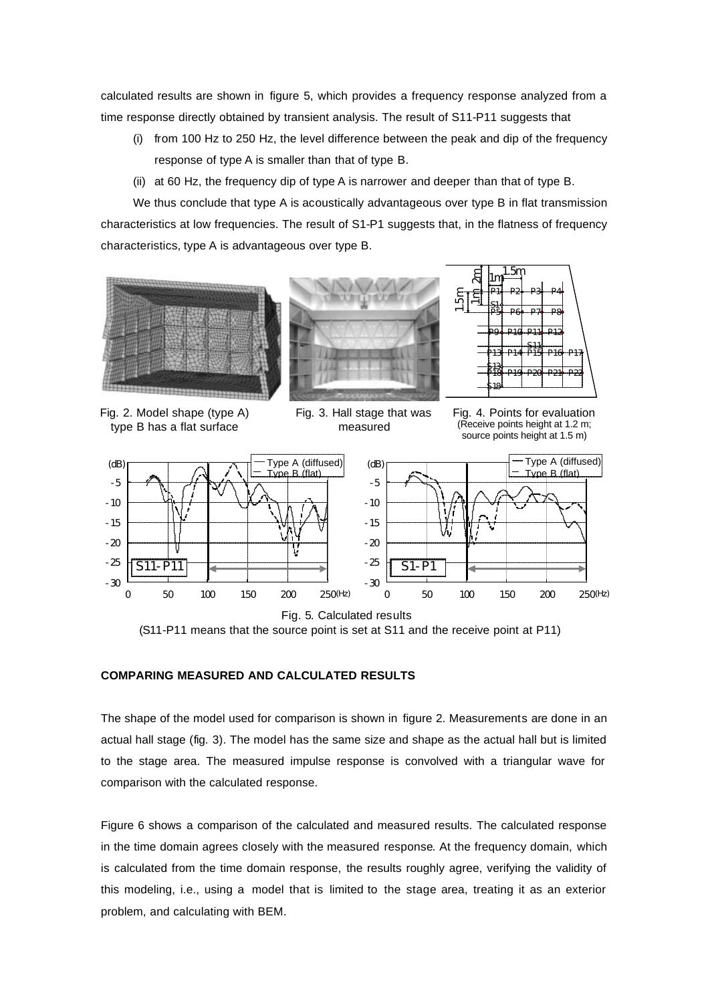calculated results are shown in figure 5, which provides a frequency response analyzed from a time response directly obtained by transient analysis. The result of S11-P11 suggests that

- (i) from 100 Hz to 250 Hz, the level difference between the peak and dip of the frequency response of type A is smaller than that of type B.
- (ii) at 60 Hz, the frequency dip of type A is narrower and deeper than that of type B.

We thus conclude that type A is acoustically advantageous over type B in flat transmission characteristics at low frequencies. The result of S1-P1 suggests that, in the flatness of frequency characteristics, type A is advantageous over type B.



Fig. 2. Model shape (type A) type B has a flat surface









(S11-P11 means that the source point is set at S11 and the receive point at P11)

#### **COMPARING MEASURED AND CALCULATED RESULTS**

The shape of the model used for comparison is shown in figure 2. Measurements are done in an actual hall stage (fig. 3). The model has the same size and shape as the actual hall but is limited to the stage area. The measured impulse response is convolved with a triangular wave for comparison with the calculated response.

Figure 6 shows a comparison of the calculated and measured results. The calculated response in the time domain agrees closely with the measured response. At the frequency domain, which is calculated from the time domain response, the results roughly agree, verifying the validity of this modeling, i.e., using a model that is limited to the stage area, treating it as an exterior problem, and calculating with BEM.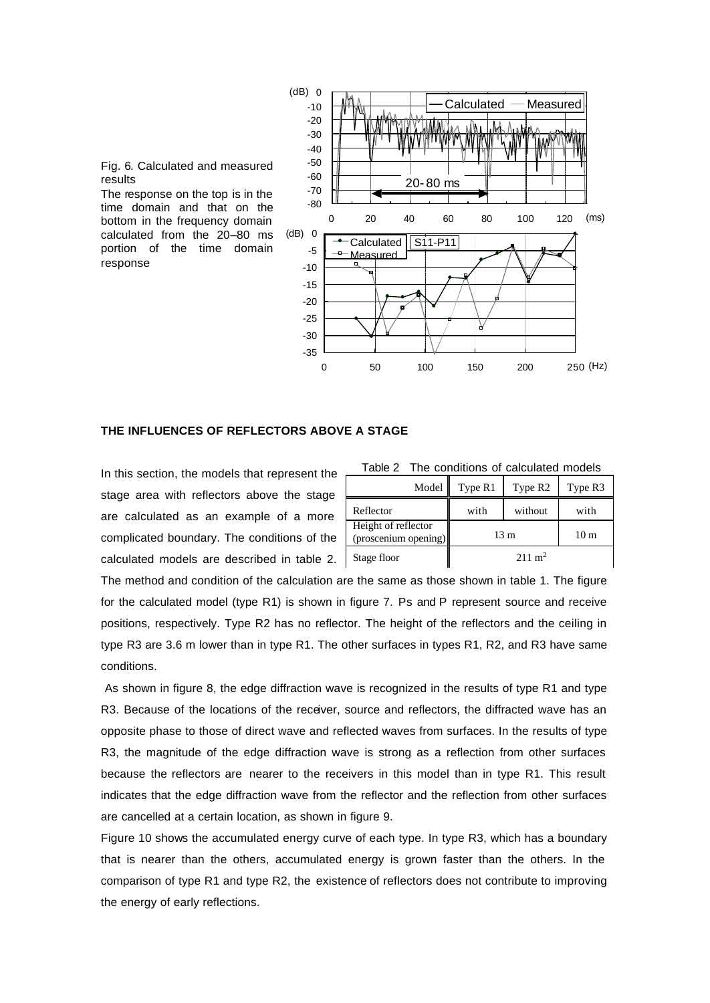

Fig. 6. Calculated and measured results

The response on the top is in the time domain and that on the bottom in the frequency domain calculated from the 20–80 ms portion of the time domain response

#### **THE INFLUENCES OF REFLECTORS ABOVE A STAGE**

In this section, the models that represent the stage area with reflectors above the stage are calculated as an example of a more complicated boundary. The conditions of the calculated models are described in table 2.

| Model                                       | Type R1           | Type R <sub>2</sub> | Type R3 |
|---------------------------------------------|-------------------|---------------------|---------|
| Reflector                                   | with              | without             | with    |
| Height of reflector<br>(proscenium opening) | 13 <sub>m</sub>   |                     | 10 m    |
| Stage floor                                 | $211 \text{ m}^2$ |                     |         |

Table 2 The conditions of calculated models

The method and condition of the calculation are the same as those shown in table 1. The figure for the calculated model (type R1) is shown in figure 7. Ps and P represent source and receive positions, respectively. Type R2 has no reflector. The height of the reflectors and the ceiling in type R3 are 3.6 m lower than in type R1. The other surfaces in types R1, R2, and R3 have same conditions.

 As shown in figure 8, the edge diffraction wave is recognized in the results of type R1 and type R3. Because of the locations of the receiver, source and reflectors, the diffracted wave has an opposite phase to those of direct wave and reflected waves from surfaces. In the results of type R3, the magnitude of the edge diffraction wave is strong as a reflection from other surfaces because the reflectors are nearer to the receivers in this model than in type R1. This result indicates that the edge diffraction wave from the reflector and the reflection from other surfaces are cancelled at a certain location, as shown in figure 9.

Figure 10 shows the accumulated energy curve of each type. In type R3, which has a boundary that is nearer than the others, accumulated energy is grown faster than the others. In the comparison of type R1 and type R2, the existence of reflectors does not contribute to improving the energy of early reflections.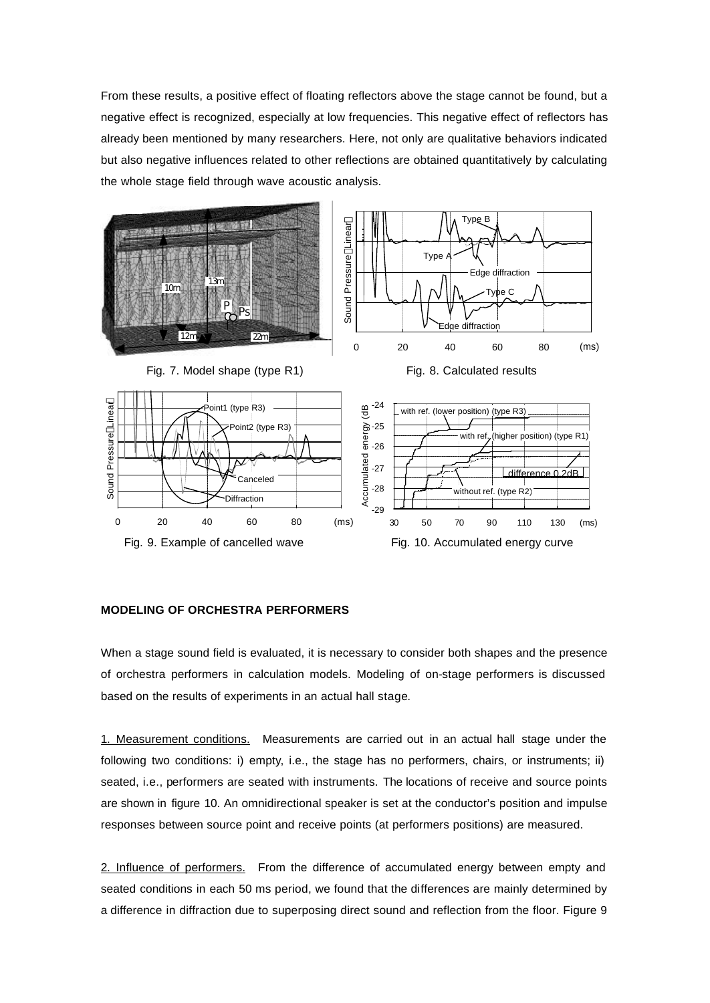From these results, a positive effect of floating reflectors above the stage cannot be found, but a negative effect is recognized, especially at low frequencies. This negative effect of reflectors has already been mentioned by many researchers. Here, not only are qualitative behaviors indicated but also negative influences related to other reflections are obtained quantitatively by calculating the whole stage field through wave acoustic analysis.



## **MODELING OF ORCHESTRA PERFORMERS**

When a stage sound field is evaluated, it is necessary to consider both shapes and the presence of orchestra performers in calculation models. Modeling of on-stage performers is discussed based on the results of experiments in an actual hall stage.

1. Measurement conditions. Measurements are carried out in an actual hall stage under the following two conditions: i) empty, i.e., the stage has no performers, chairs, or instruments; ii) seated, i.e., performers are seated with instruments. The locations of receive and source points are shown in figure 10. An omnidirectional speaker is set at the conductor's position and impulse responses between source point and receive points (at performers positions) are measured.

2. Influence of performers. From the difference of accumulated energy between empty and seated conditions in each 50 ms period, we found that the differences are mainly determined by a difference in diffraction due to superposing direct sound and reflection from the floor. Figure 9